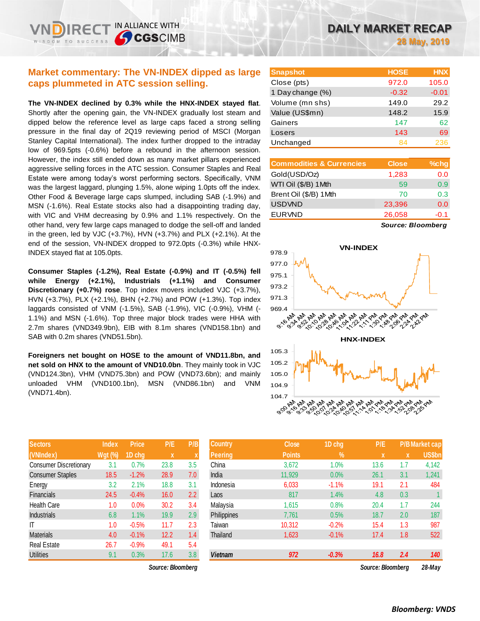## **Market commentary: The VN-INDEX dipped as large caps plummeted in ATC session selling.**

**The VN-INDEX declined by 0.3% while the HNX-INDEX stayed flat**. Shortly after the opening gain, the VN-INDEX gradually lost steam and dipped below the reference level as large caps faced a strong selling pressure in the final day of 2Q19 reviewing period of MSCI (Morgan Stanley Capital International). The index further dropped to the intraday low of 969.5pts (-0.6%) before a rebound in the afternoon session. However, the index still ended down as many market pillars experienced aggressive selling forces in the ATC session. Consumer Staples and Real Estate were among today's worst performing sectors. Specifically, VNM was the largest laggard, plunging 1.5%, alone wiping 1.0pts off the index. Other Food & Beverage large caps slumped, including SAB (-1.9%) and MSN (-1.6%). Real Estate stocks also had a disappointing trading day, with VIC and VHM decreasing by 0.9% and 1.1% respectively. On the other hand, very few large caps managed to dodge the sell-off and landed in the green, led by VJC (+3.7%), HVN (+3.7%) and PLX (+2.1%). At the end of the session, VN-INDEX dropped to 972.0pts (-0.3%) while HNX-INDEX stayed flat at 105.0pts.

**Consumer Staples (-1.2%), Real Estate (-0.9%) and IT (-0.5%) fell while Energy (+2.1%), Industrials (+1.1%) and Consumer Discretionary (+0.7%) rose**. Top index movers included VJC (+3.7%), HVN (+3.7%), PLX (+2.1%), BHN (+2.7%) and POW (+1.3%). Top index laggards consisted of VNM (-1.5%), SAB (-1.9%), VIC (-0.9%), VHM (- 1.1%) and MSN (-1.6%). Top three major block trades were HHA with 2.7m shares (VND349.9bn), EIB with 8.1m shares (VND158.1bn) and SAB with 0.2m shares (VND51.5bn).

**Foreigners net bought on HOSE to the amount of VND11.8bn, and net sold on HNX to the amount of VND10.0bn**. They mainly took in VJC (VND124.3bn), VHM (VND75.3bn) and POW (VND73.6bn); and mainly unloaded VHM (VND100.1bn), MSN (VND86.1bn) and VNM (VND71.4bn).

| <b>Sectors</b>                | <b>Index</b>   | <b>Price</b> | P/E  | P/B |
|-------------------------------|----------------|--------------|------|-----|
| (VNIndex)                     | <b>Wgt (%)</b> | 1D chg       | X    | X   |
| <b>Consumer Discretionary</b> | 3.1            | 0.7%         | 23.8 | 3.5 |
| <b>Consumer Staples</b>       | 18.5           | $-1.2%$      | 28.9 | 7.0 |
| Energy                        | 3.2            | 2.1%         | 18.8 | 3.1 |
| <b>Financials</b>             | 24.5           | $-0.4%$      | 16.0 | 2.2 |
| <b>Health Care</b>            | 1.0            | 0.0%         | 30.2 | 3.4 |
| <b>Industrials</b>            | 6.8            | 1.1%         | 19.9 | 2.9 |
| ΙT                            | 1.0            | $-0.5%$      | 11.7 | 2.3 |
| <b>Materials</b>              | 4.0            | $-0.1%$      | 12.2 | 1.4 |
| <b>Real Estate</b>            | 26.7           | $-0.9%$      | 49.1 | 5.4 |
| <b>Utilities</b>              | 9.1            | 0.3%         | 17.6 | 3.8 |

*Source: Bloomberg Source: Bloomberg 28-May*

| <b>Snapshot</b>  | <b>HOSE</b> | <b>HNX</b> |
|------------------|-------------|------------|
| Close (pts)      | 972.0       | 105.0      |
| 1 Day change (%) | $-0.32$     | $-0.01$    |
| Volume (mn shs)  | 149.0       | 29.2       |
| Value (US\$mn)   | 148.2       | 15.9       |
| Gainers          | 147         | 62         |
| Losers           | 143         | 69         |
| Unchanged        | 84          | 236        |

| <b>Commodities &amp; Currencies</b> | <b>Close</b> | $%$ chg |
|-------------------------------------|--------------|---------|
| Gold(USD/Oz)                        | 1,283        | 0.0     |
| WTI Oil (\$/B) 1Mth                 | 59           | 0.9     |
| Brent Oil (\$/B) 1Mth               | 70           | 0.3     |
| <b>USDVND</b>                       | 23,396       | 0.0     |
| <b>EURVND</b>                       | 26,058       | $-0.1$  |
|                                     |              |         |

*Source: Bloomberg*



| <b>Sectors</b>         | <b>Index</b>   | <b>Price</b> | P/E               | P/B | <b>Country</b> | <b>Close</b>  | 1D chg     | P/E               |             | <b>P/B Market cap</b> |
|------------------------|----------------|--------------|-------------------|-----|----------------|---------------|------------|-------------------|-------------|-----------------------|
| (VNIndex)              | <b>Wgt (%)</b> | 1D chg       | $\mathbf x$       | ⋏   | Peering        | <b>Points</b> | $\sqrt{2}$ | $\mathbf{x}$      | $\mathbf x$ | US\$bn                |
| Consumer Discretionary | 3.1            | 0.7%         | 23.8              | 3.5 | China          | 3,672         | 1.0%       | 13.6              | 1.7         | 4,142                 |
| Consumer Staples       | 18.5           | $-1.2%$      | 28.9              | 7.0 | India          | 11,929        | 0.0%       | 26.1              | 3.1         | 1,241                 |
| Energy                 | 3.2            | 2.1%         | 18.8              | 3.1 | Indonesia      | 6,033         | $-1.1%$    | 19.1              | 2.1         | 484                   |
| Financials             | 24.5           | $-0.4%$      | 16.0              | 2.2 | Laos           | 817           | 1.4%       | 4.8               | 0.3         |                       |
| Health Care            | 1.0            | 0.0%         | 30.2              | 3.4 | Malaysia       | 1,615         | 0.8%       | 20.4              | 1.7         | 244                   |
| Industrials            | 6.8            | 1.1%         | 19.9              | 2.9 | Philippines    | 7,761         | 0.5%       | 18.7              | 2.0         | 187                   |
|                        | 1.0            | $-0.5%$      | 11.7              | 2.3 | Taiwan         | 10,312        | $-0.2%$    | 15.4              | 1.3         | 987                   |
| Materials              | 4.0            | $-0.1%$      | 12.2              | 1.4 | Thailand       | 1,623         | $-0.1%$    | 17.4              | 1.8         | 522                   |
| Real Estate            | 26.7           | $-0.9%$      | 49.1              | 5.4 |                |               |            |                   |             |                       |
| <b>Utilities</b>       | 9.1            | 0.3%         | 17.6              | 3.8 | <b>Vietnam</b> | 972           | $-0.3%$    | 16.8              | 2.4         | 140                   |
|                        |                |              | Source: Bloomberg |     |                |               |            | Source: Bloomberg |             | $28$ -Mav             |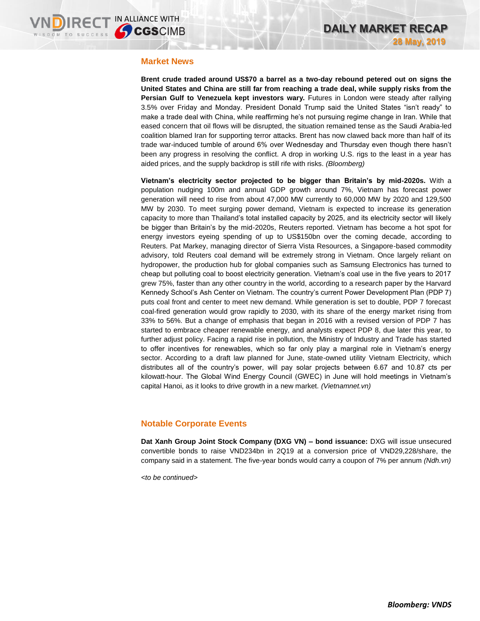### **Market News**

**Brent crude traded around US\$70 a barrel as a two-day rebound petered out on signs the United States and China are still far from reaching a trade deal, while supply risks from the Persian Gulf to Venezuela kept investors wary.** Futures in London were steady after rallying 3.5% over Friday and Monday. President Donald Trump said the United States "isn't ready" to make a trade deal with China, while reaffirming he's not pursuing regime change in Iran. While that eased concern that oil flows will be disrupted, the situation remained tense as the Saudi Arabia-led coalition blamed Iran for supporting terror attacks. Brent has now clawed back more than half of its trade war-induced tumble of around 6% over Wednesday and Thursday even though there hasn't been any progress in resolving the conflict. A drop in working U.S. rigs to the least in a year has aided prices, and the supply backdrop is still rife with risks. *(Bloomberg)*

**Vietnam's electricity sector projected to be bigger than Britain's by mid-2020s.** With a population nudging 100m and annual GDP growth around 7%, Vietnam has forecast power generation will need to rise from about 47,000 MW currently to 60,000 MW by 2020 and 129,500 MW by 2030. To meet surging power demand, Vietnam is expected to increase its generation capacity to more than Thailand's total installed capacity by 2025, and its electricity sector will likely be bigger than Britain's by the mid-2020s, Reuters reported. Vietnam has become a hot spot for energy investors eyeing spending of up to US\$150bn over the coming decade, according to Reuters. Pat Markey, managing director of Sierra Vista Resources, a Singapore-based commodity advisory, told Reuters coal demand will be extremely strong in Vietnam. Once largely reliant on hydropower, the production hub for global companies such as Samsung Electronics has turned to cheap but polluting coal to boost electricity generation. Vietnam's coal use in the five years to 2017 grew 75%, faster than any other country in the world, according to a research paper by the Harvard Kennedy School's Ash Center on Vietnam. The country's current Power Development Plan (PDP 7) puts coal front and center to meet new demand. While generation is set to double, PDP 7 forecast coal-fired generation would grow rapidly to 2030, with its share of the energy market rising from 33% to 56%. But a change of emphasis that began in 2016 with a revised version of PDP 7 has started to embrace cheaper renewable energy, and analysts expect PDP 8, due later this year, to further adjust policy. Facing a rapid rise in pollution, the Ministry of Industry and Trade has started to offer incentives for renewables, which so far only play a marginal role in Vietnam's energy sector. According to a draft law planned for June, state-owned utility Vietnam Electricity, which distributes all of the country's power, will pay solar projects between 6.67 and 10.87 cts per kilowatt-hour. The Global Wind Energy Council (GWEC) in June will hold meetings in Vietnam's capital Hanoi, as it looks to drive growth in a new market. *(Vietnamnet.vn)*

## **Notable Corporate Events**

**Dat Xanh Group Joint Stock Company (DXG VN) – bond issuance:** DXG will issue unsecured convertible bonds to raise VND234bn in 2Q19 at a conversion price of VND29,228/share, the company said in a statement. The five-year bonds would carry a coupon of 7% per annum *(Ndh.vn)*

*<to be continued>*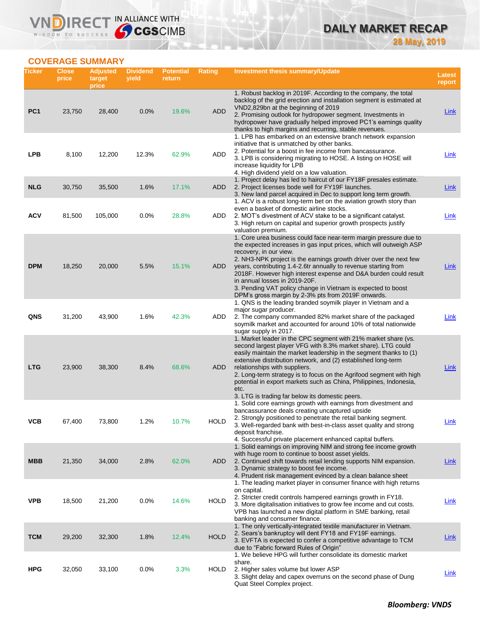# **DAILY MARKET RECAP 28 May, 2019**

## **COVERAGE SUMMARY**

WISDOM TO SUCCESS

VND

IRECT IN ALLIANCE WITH

| Ticker          | <b>Close</b><br>price | <b>Adjusted</b><br>target<br>price | <b>Dividend</b><br>yield | <b>Potential</b><br>return | <b>Rating</b> | Investment thesis summary/Update                                                                                                                                                                                                                                                                                                                                                                                                                                                                                                                             | <b>Latest</b><br>report |
|-----------------|-----------------------|------------------------------------|--------------------------|----------------------------|---------------|--------------------------------------------------------------------------------------------------------------------------------------------------------------------------------------------------------------------------------------------------------------------------------------------------------------------------------------------------------------------------------------------------------------------------------------------------------------------------------------------------------------------------------------------------------------|-------------------------|
| PC <sub>1</sub> | 23,750                | 28,400                             | 0.0%                     | 19.6%                      | <b>ADD</b>    | 1. Robust backlog in 2019F. According to the company, the total<br>backlog of the grid erection and installation segment is estimated at<br>VND2,829bn at the beginning of 2019<br>2. Promising outlook for hydropower segment. Investments in<br>hydropower have gradually helped improved PC1's earnings quality<br>thanks to high margins and recurring, stable revenues.                                                                                                                                                                                 | <b>Link</b>             |
| <b>LPB</b>      | 8,100                 | 12,200                             | 12.3%                    | 62.9%                      | ADD           | 1. LPB has embarked on an extensive branch network expansion<br>initiative that is unmatched by other banks.<br>2. Potential for a boost in fee income from bancassurance.<br>3. LPB is considering migrating to HOSE. A listing on HOSE will<br>increase liquidity for LPB<br>4. High dividend yield on a low valuation.                                                                                                                                                                                                                                    | Link                    |
| <b>NLG</b>      | 30,750                | 35,500                             | 1.6%                     | 17.1%                      | ADD           | 1. Project delay has led to haircut of our FY18F presales estimate.<br>2. Project licenses bode well for FY19F launches.<br>3. New land parcel acquired in Dec to support long term growth.                                                                                                                                                                                                                                                                                                                                                                  | <b>Link</b>             |
| <b>ACV</b>      | 81,500                | 105,000                            | 0.0%                     | 28.8%                      | ADD           | 1. ACV is a robust long-term bet on the aviation growth story than<br>even a basket of domestic airline stocks.<br>2. MOT's divestment of ACV stake to be a significant catalyst.<br>3. High return on capital and superior growth prospects justify                                                                                                                                                                                                                                                                                                         | <b>Link</b>             |
| <b>DPM</b>      | 18,250                | 20,000                             | 5.5%                     | 15.1%                      | ADD           | valuation premium.<br>1. Core urea business could face near-term margin pressure due to<br>the expected increases in gas input prices, which will outweigh ASP<br>recovery, in our view.<br>2. NH3-NPK project is the earnings growth driver over the next few<br>years, contributing 1.4-2.6tr annually to revenue starting from<br>2018F. However high interest expense and D&A burden could result<br>in annual losses in 2019-20F.<br>3. Pending VAT policy change in Vietnam is expected to boost<br>DPM's gross margin by 2-3% pts from 2019F onwards. | Link                    |
| QNS             | 31,200                | 43,900                             | 1.6%                     | 42.3%                      | ADD           | 1. QNS is the leading branded soymilk player in Vietnam and a<br>major sugar producer.<br>2. The company commanded 82% market share of the packaged<br>soymilk market and accounted for around 10% of total nationwide<br>sugar supply in 2017.                                                                                                                                                                                                                                                                                                              | Link                    |
| <b>LTG</b>      | 23,900                | 38,300                             | 8.4%                     | 68.6%                      | ADD           | 1. Market leader in the CPC segment with 21% market share (vs.<br>second largest player VFG with 8.3% market share). LTG could<br>easily maintain the market leadership in the segment thanks to (1)<br>extensive distribution network, and (2) established long-term<br>relationships with suppliers.<br>2. Long-term strategy is to focus on the Agrifood segment with high<br>potential in export markets such as China, Philippines, Indonesia,<br>etc.<br>3. LTG is trading far below its domestic peers.                                               | Link                    |
| ۷СВ             | 67,400                | 73,800                             | 1.2%                     | $10.7\%$                   | <b>HOLD</b>   | 1. Solid core earnings growth with earnings from divestment and<br>bancassurance deals creating uncaptured upside<br>2. Strongly positioned to penetrate the retail banking segment.<br>3. Well-regarded bank with best-in-class asset quality and strong<br>deposit franchise.<br>4. Successful private placement enhanced capital buffers.                                                                                                                                                                                                                 | <b>Link</b>             |
| <b>MBB</b>      | 21,350                | 34,000                             | 2.8%                     | 62.0%                      | <b>ADD</b>    | 1. Solid earnings on improving NIM and strong fee income growth<br>with huge room to continue to boost asset yields.<br>2. Continued shift towards retail lending supports NIM expansion.<br>3. Dynamic strategy to boost fee income.<br>4. Prudent risk management evinced by a clean balance sheet                                                                                                                                                                                                                                                         | <u>Link</u>             |
| <b>VPB</b>      | 18,500                | 21,200                             | 0.0%                     | 14.6%                      | HOLD          | 1. The leading market player in consumer finance with high returns<br>on capital.<br>2. Stricter credit controls hampered earnings growth in FY18.<br>3. More digitalisation initiatives to grow fee income and cut costs.<br>VPB has launched a new digital platform in SME banking, retail<br>banking and consumer finance.                                                                                                                                                                                                                                | <u>Link</u>             |
| <b>TCM</b>      | 29,200                | 32,300                             | 1.8%                     | 12.4%                      | <b>HOLD</b>   | 1. The only vertically-integrated textile manufacturer in Vietnam.<br>2. Sears's bankruptcy will dent FY18 and FY19F earnings.<br>3. EVFTA is expected to confer a competitive advantage to TCM<br>due to "Fabric forward Rules of Origin"                                                                                                                                                                                                                                                                                                                   | <b>Link</b>             |
| <b>HPG</b>      | 32,050                | 33,100                             | 0.0%                     | 3.3%                       | HOLD          | 1. We believe HPG will further consolidate its domestic market<br>share.<br>2. Higher sales volume but lower ASP<br>3. Slight delay and capex overruns on the second phase of Dung<br>Quat Steel Complex project.                                                                                                                                                                                                                                                                                                                                            | <u>Link</u>             |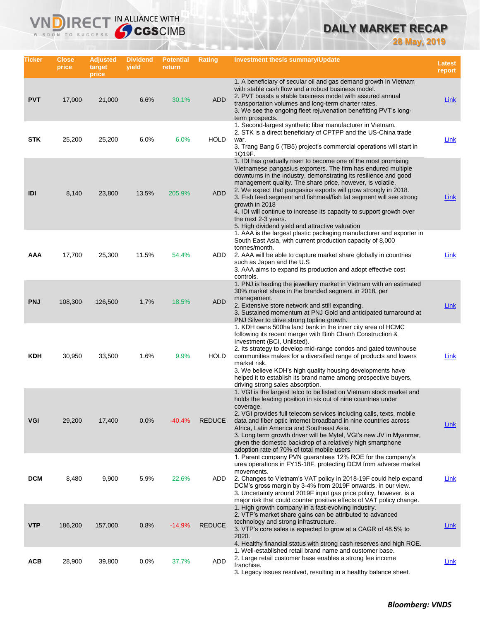# **DAILY MARKET RECAP**

**28 May, 2019**

| Ticker     | <b>Close</b><br>price | <b>Adjusted</b><br>target<br>price | <b>Dividend</b><br>yield | <b>Potential</b><br>return | <b>Rating</b> | <b>Investment thesis summary/Update</b>                                                                                                                                                                                                                                                                                                                                                                                                                                                                                                                                        | Latest<br>report |
|------------|-----------------------|------------------------------------|--------------------------|----------------------------|---------------|--------------------------------------------------------------------------------------------------------------------------------------------------------------------------------------------------------------------------------------------------------------------------------------------------------------------------------------------------------------------------------------------------------------------------------------------------------------------------------------------------------------------------------------------------------------------------------|------------------|
| <b>PVT</b> | 17,000                | 21,000                             | 6.6%                     | 30.1%                      | <b>ADD</b>    | 1. A beneficiary of secular oil and gas demand growth in Vietnam<br>with stable cash flow and a robust business model.<br>2. PVT boasts a stable business model with assured annual<br>transportation volumes and long-term charter rates.<br>3. We see the ongoing fleet rejuvenation benefitting PVT's long-<br>term prospects.                                                                                                                                                                                                                                              | Link             |
| STK        | 25,200                | 25,200                             | 6.0%                     | 6.0%                       | <b>HOLD</b>   | 1. Second-largest synthetic fiber manufacturer in Vietnam.<br>2. STK is a direct beneficiary of CPTPP and the US-China trade<br>war.<br>3. Trang Bang 5 (TB5) project's commercial operations will start in<br>1Q19F.                                                                                                                                                                                                                                                                                                                                                          | Link             |
| IDI        | 8,140                 | 23,800                             | 13.5%                    | 205.9%                     | <b>ADD</b>    | 1. IDI has gradually risen to become one of the most promising<br>Vietnamese pangasius exporters. The firm has endured multiple<br>downturns in the industry, demonstrating its resilience and good<br>management quality. The share price, however, is volatile.<br>2. We expect that pangasius exports will grow strongly in 2018.<br>3. Fish feed segment and fishmeal/fish fat segment will see strong<br>growth in 2018<br>4. IDI will continue to increase its capacity to support growth over<br>the next 2-3 years.<br>5. High dividend yield and attractive valuation | Link             |
| AAA        | 17,700                | 25,300                             | 11.5%                    | 54.4%                      | ADD           | 1. AAA is the largest plastic packaging manufacturer and exporter in<br>South East Asia, with current production capacity of 8,000<br>tonnes/month.<br>2. AAA will be able to capture market share globally in countries<br>such as Japan and the U.S.<br>3. AAA aims to expand its production and adopt effective cost<br>controls.                                                                                                                                                                                                                                           | Link             |
| <b>PNJ</b> | 108,300               | 126,500                            | 1.7%                     | 18.5%                      | <b>ADD</b>    | 1. PNJ is leading the jewellery market in Vietnam with an estimated<br>30% market share in the branded segment in 2018, per<br>management.<br>2. Extensive store network and still expanding.<br>3. Sustained momentum at PNJ Gold and anticipated turnaround at<br>PNJ Silver to drive strong topline growth.                                                                                                                                                                                                                                                                 | Link             |
| KDH        | 30,950                | 33,500                             | 1.6%                     | 9.9%                       | <b>HOLD</b>   | 1. KDH owns 500ha land bank in the inner city area of HCMC<br>following its recent merger with Binh Chanh Construction &<br>Investment (BCI, Unlisted).<br>2. Its strategy to develop mid-range condos and gated townhouse<br>communities makes for a diversified range of products and lowers<br>market risk.<br>3. We believe KDH's high quality housing developments have<br>helped it to establish its brand name among prospective buyers,<br>driving strong sales absorption.                                                                                            | Link             |
| <b>VGI</b> | 29,200                | 17,400                             | 0.0%                     | $-40.4%$                   | <b>REDUCE</b> | 1. VGI is the largest telco to be listed on Vietnam stock market and<br>holds the leading position in six out of nine countries under<br>coverage.<br>2. VGI provides full telecom services including calls, texts, mobile<br>data and fiber optic internet broadband in nine countries across<br>Africa, Latin America and Southeast Asia.<br>3. Long term growth driver will be Mytel, VGI's new JV in Myanmar,<br>given the domestic backdrop of a relatively high smartphone<br>adoption rate of 70% of total mobile users                                                 | Link             |
| <b>DCM</b> | 8,480                 | 9,900                              | 5.9%                     | 22.6%                      | ADD           | 1. Parent company PVN guarantees 12% ROE for the company's<br>urea operations in FY15-18F, protecting DCM from adverse market<br>movements.<br>2. Changes to Vietnam's VAT policy in 2018-19F could help expand<br>DCM's gross margin by 3-4% from 2019F onwards, in our view.<br>3. Uncertainty around 2019F input gas price policy, however, is a<br>major risk that could counter positive effects of VAT policy change.                                                                                                                                                    | Link             |
| <b>VTP</b> | 186,200               | 157,000                            | 0.8%                     | $-14.9%$                   | <b>REDUCE</b> | 1. High growth company in a fast-evolving industry.<br>2. VTP's market share gains can be attributed to advanced<br>technology and strong infrastructure.<br>3. VTP's core sales is expected to grow at a CAGR of 48.5% to<br>2020.<br>4. Healthy financial status with strong cash reserves and high ROE.                                                                                                                                                                                                                                                                     | Link             |
| <b>ACB</b> | 28,900                | 39,800                             | 0.0%                     | 37.7%                      | ADD           | 1. Well-established retail brand name and customer base.<br>2. Large retail customer base enables a strong fee income<br>franchise.<br>3. Legacy issues resolved, resulting in a healthy balance sheet.                                                                                                                                                                                                                                                                                                                                                                        | <u>Link</u>      |

**VNDIRECT IN ALLIANCE WITH**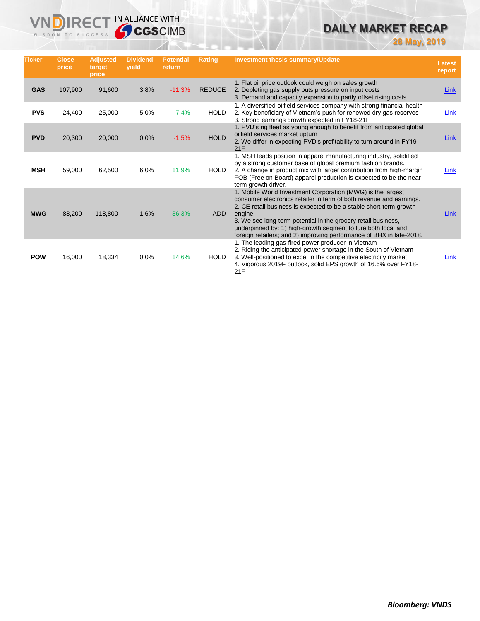# **DAILY MARKET RECAP**

**28 May, 2019**

| <b>Ticker</b> | <b>Close</b><br>price | <b>Adjusted</b><br>target<br>price | <b>Dividend</b><br>vield | <b>Potential</b><br>return | Rating        | <b>Investment thesis summary/Update</b>                                                                                                                                                                                                                                                                                                                                                                                       | <b>Latest</b><br>report |
|---------------|-----------------------|------------------------------------|--------------------------|----------------------------|---------------|-------------------------------------------------------------------------------------------------------------------------------------------------------------------------------------------------------------------------------------------------------------------------------------------------------------------------------------------------------------------------------------------------------------------------------|-------------------------|
| <b>GAS</b>    | 107,900               | 91,600                             | 3.8%                     | $-11.3%$                   | <b>REDUCE</b> | 1. Flat oil price outlook could weigh on sales growth<br>2. Depleting gas supply puts pressure on input costs<br>3. Demand and capacity expansion to partly offset rising costs                                                                                                                                                                                                                                               | Link                    |
| <b>PVS</b>    | 24,400                | 25,000                             | 5.0%                     | 7.4%                       | <b>HOLD</b>   | 1. A diversified oilfield services company with strong financial health<br>2. Key beneficiary of Vietnam's push for renewed dry gas reserves<br>3. Strong earnings growth expected in FY18-21F                                                                                                                                                                                                                                | Link                    |
| <b>PVD</b>    | 20,300                | 20,000                             | 0.0%                     | $-1.5%$                    | <b>HOLD</b>   | 1. PVD's rig fleet as young enough to benefit from anticipated global<br>oilfield services market upturn<br>2. We differ in expecting PVD's profitability to turn around in FY19-<br>21F                                                                                                                                                                                                                                      | Link                    |
| <b>MSH</b>    | 59,000                | 62,500                             | 6.0%                     | 11.9%                      | <b>HOLD</b>   | 1. MSH leads position in apparel manufacturing industry, solidified<br>by a strong customer base of global premium fashion brands.<br>2. A change in product mix with larger contribution from high-margin<br>FOB (Free on Board) apparel production is expected to be the near-<br>term growth driver.                                                                                                                       | Link                    |
| <b>MWG</b>    | 88,200                | 118,800                            | 1.6%                     | 36.3%                      | ADD           | 1. Mobile World Investment Corporation (MWG) is the largest<br>consumer electronics retailer in term of both revenue and earnings.<br>2. CE retail business is expected to be a stable short-term growth<br>engine.<br>3. We see long-term potential in the grocery retail business,<br>underpinned by: 1) high-growth segment to lure both local and<br>foreign retailers; and 2) improving performance of BHX in late-2018. | Link                    |
| <b>POW</b>    | 16,000                | 18,334                             | 0.0%                     | 14.6%                      | <b>HOLD</b>   | 1. The leading gas-fired power producer in Vietnam<br>2. Riding the anticipated power shortage in the South of Vietnam<br>3. Well-positioned to excel in the competitive electricity market<br>4. Vigorous 2019F outlook, solid EPS growth of 16.6% over FY18-<br>21F                                                                                                                                                         | Link                    |

**VNDIRECT IN ALLIANCE WITH** 

WISDOM TO SUCCESS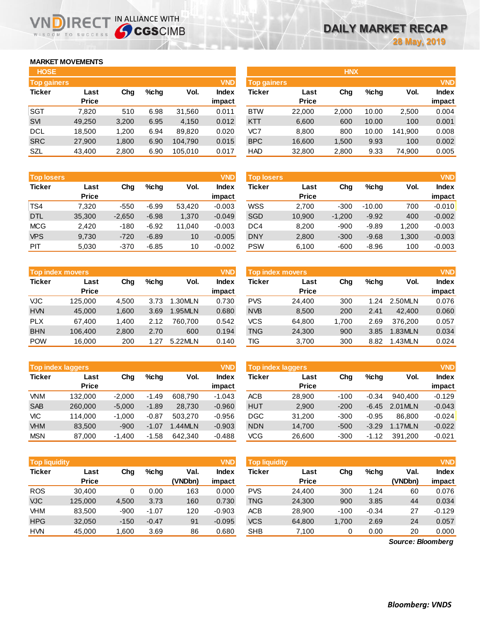## **MARKET MOVEMENTS**

WISDOM TO SUCCESS

n

| <b>HOSE</b>   |              |       |      |         |              |
|---------------|--------------|-------|------|---------|--------------|
| Top gainers   |              |       |      |         | <b>VND</b>   |
| <b>Ticker</b> | Last         | Cha   | %chq | Vol.    | <b>Index</b> |
|               | <b>Price</b> |       |      |         | impact       |
| <b>SGT</b>    | 7,820        | 510   | 6.98 | 31,560  | 0.011        |
| <b>SVI</b>    | 49,250       | 3,200 | 6.95 | 4,150   | 0.012        |
| DCL           | 18,500       | 1.200 | 6.94 | 89,820  | 0.020        |
| <b>SRC</b>    | 27,900       | 1,800 | 6.90 | 104,790 | 0.015        |
| SZL           | 43,400       | 2,800 | 6.90 | 105,010 | 0.017        |

IRECT IN ALLIANCE WITH

| <b>Top losers</b> |              |          |         |        | <b>VND</b>   |
|-------------------|--------------|----------|---------|--------|--------------|
| <b>Ticker</b>     | Last         | Cha      | %chq    | Vol.   | <b>Index</b> |
|                   | <b>Price</b> |          |         |        | impact       |
| TS4               | 7,320        | $-550$   | $-6.99$ | 53,420 | $-0.003$     |
| D <sub>TL</sub>   | 35,300       | $-2,650$ | $-6.98$ | 1,370  | $-0.049$     |
| <b>MCG</b>        | 2.420        | $-180$   | $-6.92$ | 11,040 | $-0.003$     |
| <b>VPS</b>        | 9,730        | $-720$   | $-6.89$ | 10     | $-0.005$     |
| PIT               | 5,030        | $-370$   | $-6.85$ | 10     | $-0.002$     |

|               | <b>Top index movers</b> |       |      |         | <b>VND</b> |
|---------------|-------------------------|-------|------|---------|------------|
| <b>Ticker</b> | Last                    | Cha   | %chq | Vol.    | Index      |
|               | <b>Price</b>            |       |      |         | impact     |
| <b>VJC</b>    | 125,000                 | 4,500 | 3.73 | 1.30MLN | 0.730      |
| <b>HVN</b>    | 45,000                  | 1,600 | 3.69 | 1.95MLN | 0.680      |
| <b>PLX</b>    | 67,400                  | 1,400 | 2.12 | 760.700 | 0.542      |
| <b>BHN</b>    | 106,400                 | 2,800 | 2.70 | 600     | 0.194      |
| <b>POW</b>    | 16,000                  | 200   | 1.27 | 5.22MLN | 0.140      |

| <b>Top index laggers</b> |              |          |         |         |          |  |  |
|--------------------------|--------------|----------|---------|---------|----------|--|--|
| <b>Ticker</b>            | Last         | Cha      | %chq    | Vol.    | Index    |  |  |
|                          | <b>Price</b> |          |         |         | impact   |  |  |
| VNM                      | 132,000      | $-2,000$ | $-1.49$ | 608,790 | $-1.043$ |  |  |
| <b>SAB</b>               | 260,000      | $-5,000$ | $-1.89$ | 28,730  | $-0.960$ |  |  |
| VIC                      | 114.000      | $-1.000$ | $-0.87$ | 503.270 | $-0.956$ |  |  |
| <b>VHM</b>               | 83,500       | $-900$   | -1.07   | 1.44MLN | $-0.903$ |  |  |
| <b>MSN</b>               | 87,000       | $-1,400$ | $-1.58$ | 642,340 | $-0.488$ |  |  |

| <b>Top liquidity</b> |              |        |         |         | <b>VND</b>   |
|----------------------|--------------|--------|---------|---------|--------------|
| <b>Ticker</b>        | Last         | Cha    | %chq    | Val.    | <b>Index</b> |
|                      | <b>Price</b> |        |         | (VNDbn) | impact       |
| <b>ROS</b>           | 30,400       | 0      | 0.00    | 163     | 0.000        |
| <b>VJC</b>           | 125,000      | 4,500  | 3.73    | 160     | 0.730        |
| VHM                  | 83,500       | $-900$ | $-1.07$ | 120     | $-0.903$     |
| <b>HPG</b>           | 32,050       | $-150$ | $-0.47$ | 91      | $-0.095$     |
| <b>HVN</b>           | 45,000       | 1,600  | 3.69    | 86      | 0.680        |

| <b>HOSE</b>        |              |       |      |         |              |                    |              | <b>HNX</b> |         |         |              |
|--------------------|--------------|-------|------|---------|--------------|--------------------|--------------|------------|---------|---------|--------------|
| <b>Top gainers</b> |              |       |      |         | <b>VND</b>   | <b>Top gainers</b> |              |            |         |         | <b>VND</b>   |
| Ticker             | Last         | Chg   | %chq | Vol.    | <b>Index</b> | Ticker             | Last         | Chg        | $%$ chq | Vol.    | <b>Index</b> |
|                    | <b>Price</b> |       |      |         | impact       |                    | <b>Price</b> |            |         |         | impact       |
| SGT                | 7,820        | 510   | 6.98 | 31,560  | 0.011        | <b>BTW</b>         | 22,000       | 2,000      | 10.00   | 2,500   | 0.004        |
| <b>SVI</b>         | 49.250       | 3,200 | 6.95 | 4,150   | 0.012        | <b>KTT</b>         | 6,600        | 600        | 10.00   | 100     | 0.001        |
| DCL                | 18.500       | 1.200 | 6.94 | 89.820  | 0.020        | VC7                | 8.800        | 800        | 10.00   | 141.900 | 0.008        |
| <b>SRC</b>         | 27,900       | 1,800 | 6.90 | 104.790 | 0.015        | <b>BPC</b>         | 16,600       | 1,500      | 9.93    | 100     | 0.002        |
| <b>SZL</b>         | 43,400       | 2,800 | 6.90 | 105,010 | 0.017        | <b>HAD</b>         | 32,800       | 2,800      | 9.33    | 74,900  | 0.005        |

| <b>Top losers</b> |                      |          |         |        | <b>VND</b>             | <b>VND</b><br><b>Top losers</b> |                      |          |          |       |                        |  |
|-------------------|----------------------|----------|---------|--------|------------------------|---------------------------------|----------------------|----------|----------|-------|------------------------|--|
| Ticker            | Last<br><b>Price</b> | Chg      | %chq    | Vol.   | <b>Index</b><br>impact | Ticker                          | Last<br><b>Price</b> | Chg      | $%$ chq  | Vol.  | <b>Index</b><br>impact |  |
| TS4               | 7,320                | $-550$   | $-6.99$ | 53.420 | $-0.003$               | <b>WSS</b>                      | 2,700                | $-300$   | $-10.00$ | 700   | $-0.010$               |  |
| <b>DTL</b>        | 35,300               | $-2,650$ | $-6.98$ | 1,370  | $-0.049$               | <b>SGD</b>                      | 10,900               | $-1,200$ | $-9.92$  | 400   | $-0.002$               |  |
| <b>MCG</b>        | 2,420                | $-180$   | $-6.92$ | 11,040 | $-0.003$               | DC4                             | 8,200                | $-900$   | $-9.89$  | 1,200 | $-0.003$               |  |
| <b>VPS</b>        | 9,730                | $-720$   | $-6.89$ | 10     | $-0.005$               | <b>DNY</b>                      | 2,800                | $-300$   | $-9.68$  | 1,300 | $-0.003$               |  |
| <b>PIT</b>        | 5,030                | $-370$   | $-6.85$ | 10     | $-0.002$               | <b>PSW</b>                      | 6,100                | $-600$   | $-8.96$  | 100   | $-0.003$               |  |
|                   |                      |          |         |        |                        |                                 |                      |          |          |       |                        |  |

| <b>Top index movers</b> |              |       |      |         | <b>VND</b>   | Top index movers |              |      |                 |         | <b>VND</b>   |
|-------------------------|--------------|-------|------|---------|--------------|------------------|--------------|------|-----------------|---------|--------------|
| Ticker                  | Last         | Chg   | %chq | Vol.    | <b>Index</b> | Ticker           | Last         | Chg  | $%$ chq         | Vol.    | <b>Index</b> |
|                         | <b>Price</b> |       |      |         | impact       |                  | <b>Price</b> |      |                 |         | impact       |
| VJC.                    | 125,000      | 4.500 | 3.73 | .30MLN  | 0.730        | <b>PVS</b>       | 24.400       | 300  | $\overline{24}$ | 2.50MLN | 0.076        |
| <b>HVN</b>              | 45,000       | 1,600 | 3.69 | 1.95MLN | 0.680        | <b>NVB</b>       | 8,500        | 200  | 2.41            | 42,400  | 0.060        |
| <b>PLX</b>              | 67.400       | 1.400 | 2.12 | 760.700 | 0.542        | <b>VCS</b>       | 64,800       | .700 | 2.69            | 376.200 | 0.057        |
| <b>BHN</b>              | 106,400      | 2,800 | 2.70 | 600     | 0.194        | TNG              | 24,300       | 900  | 3.85            | 1.83MLN | 0.034        |
| POW                     | 16.000       | 200   | 1.27 | 5.22MLN | 0.140        | TIG              | 3,700        | 300  | 8.82            | .43MLN  | 0.024        |

| <b>Top index laggers</b> |              |          |         |           | <b>VND</b> | <b>Top index laggers</b> |              |        |         |         |              |
|--------------------------|--------------|----------|---------|-----------|------------|--------------------------|--------------|--------|---------|---------|--------------|
| Ticker                   | Last         | Chg      | %chq    | Vol.      | Index      | Ticker                   | Last         | Chg    | $%$ chq | Vol.    | <b>Index</b> |
|                          | <b>Price</b> |          |         |           | impact     |                          | <b>Price</b> |        |         |         | impact       |
| <b>VNM</b>               | 132.000      | $-2.000$ | $-1.49$ | 608.790   | $-1.043$   | <b>ACB</b>               | 28,900       | $-100$ | $-0.34$ | 940.400 | $-0.129$     |
| <b>SAB</b>               | 260,000      | $-5.000$ | $-1.89$ | 28.730    | $-0.960$   | <b>HUT</b>               | 2,900        | $-200$ | $-6.45$ | 2.01MLN | $-0.043$     |
| VIC                      | 114.000      | $-1.000$ | $-0.87$ | 503,270   | $-0.956$   | <b>DGC</b>               | 31.200       | $-300$ | $-0.95$ | 86.800  | $-0.024$     |
| <b>VHM</b>               | 83.500       | $-900$   | $-1.07$ | $.44$ MLN | $-0.903$   | <b>NDN</b>               | 14.700       | $-500$ | $-3.29$ | 1.17MLN | $-0.022$     |
| <b>MSN</b>               | 87,000       | $-1.400$ | $-1.58$ | 642.340   | $-0.488$   | <b>VCG</b>               | 26,600       | $-300$ | $-1.12$ | 391.200 | $-0.021$     |

| <b>Top liquidity</b> |                      |        |         |                 | <b>VND</b>             | <b>Top liquidity</b> |                      |        |         |                   |                                      |
|----------------------|----------------------|--------|---------|-----------------|------------------------|----------------------|----------------------|--------|---------|-------------------|--------------------------------------|
| Ticker               | Last<br><b>Price</b> | Chg    | %chq    | Val.<br>(VNDbn) | <b>Index</b><br>impact | Ticker               | Last<br><b>Price</b> | Chg    | $%$ chq | Val.<br>(VNDbn)   | <b>VND</b><br><b>Index</b><br>impact |
| ROS                  | 30.400               | 0      | 0.00    | 163             | 0.000                  | <b>PVS</b>           | 24.400               | 300    | 1.24    | 60                | 0.076                                |
| <b>VJC</b>           | 125,000              | 4,500  | 3.73    | 160             | 0.730                  | <b>TNG</b>           | 24,300               | 900    | 3.85    | 44                | 0.034                                |
| VHM                  | 83,500               | $-900$ | $-1.07$ | 120             | $-0.903$               | ACB                  | 28,900               | $-100$ | $-0.34$ | 27                | $-0.129$                             |
| <b>HPG</b>           | 32,050               | $-150$ | $-0.47$ | 91              | $-0.095$               | <b>VCS</b>           | 64,800               | 1,700  | 2.69    | 24                | 0.057                                |
| <b>HVN</b>           | 45,000               | 1,600  | 3.69    | 86              | 0.680                  | <b>SHB</b>           | 7,100                | 0      | 0.00    | 20                | 0.000                                |
|                      |                      |        |         |                 |                        |                      |                      |        |         | Source: Bloomberg |                                      |

*Source: Bloomberg*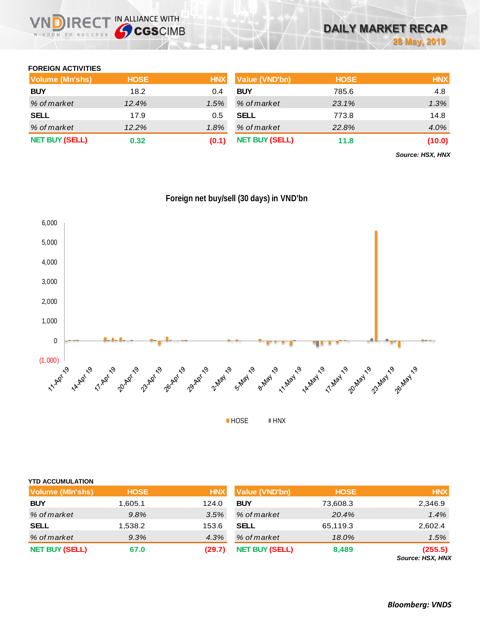

## **FOREIGN ACTIVITIES**

| Volume (Mn'shs)       | <b>HOSE</b> | <b>HNX</b> | Value (VND'bn)        | <b>HOSE</b> | <b>HNX</b> |
|-----------------------|-------------|------------|-----------------------|-------------|------------|
| <b>BUY</b>            | 18.2        | 0.4        | <b>BUY</b>            | 785.6       | 4.8        |
| % of market           | 12.4%       | 1.5%       | % of market           | 23.1%       | 1.3%       |
| <b>SELL</b>           | 17.9        | 0.5        | <b>SELL</b>           | 773.8       | 14.8       |
| % of market           | 12.2%       | 1.8%       | % of market           | 22.8%       | 4.0%       |
| <b>NET BUY (SELL)</b> | 0.32        | (0.1)      | <b>NET BUY (SELL)</b> | 11.8        | (10.0)     |

*Source: HSX, HNX*



|  |  | Foreign net buy/sell (30 days) in VND'bn |
|--|--|------------------------------------------|
|  |  |                                          |

| <b>YTD ACCUMULATION</b> |             |            |                |             |            |
|-------------------------|-------------|------------|----------------|-------------|------------|
| Volume (MIn'shs)        | <b>HOSE</b> | <b>HNX</b> | Value (VND'bn) | <b>HOSE</b> | <b>HNX</b> |
| <b>BUY</b>              | 1,605.1     | 124.0      | <b>BUY</b>     | 73,608.3    | 2,346.9    |
| % of market             | 9.8%        | 3.5%       | % of market    | 20.4%       | 1.4%       |
| <b>SELL</b>             | 1,538.2     | 153.6      | <b>SELL</b>    | 65,119.3    | 2,602.4    |
| % of market             | 9.3%        | 4.3%       | % of market    | 18.0%       | 1.5%       |

**NET BUY (SELL) 67.0 (29.7) NET BUY(SELL) 8,489 (255.5)**

*Source: HSX, HNX*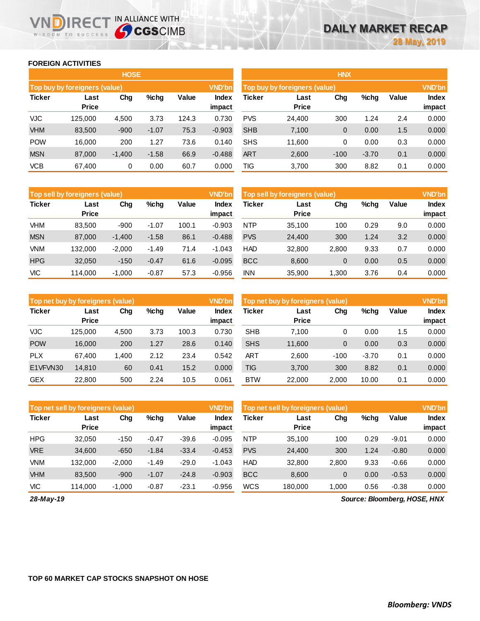### **FOREIGN ACTIVITIES**

WISDOM TO SUCCESS

n

**IRECT IN ALLIANCE WITH** 

|               |                               | <b>HOSE</b> |         |       |                 | <b>HNX</b>                    |                      |        |         |       |                 |
|---------------|-------------------------------|-------------|---------|-------|-----------------|-------------------------------|----------------------|--------|---------|-------|-----------------|
|               | Top buy by foreigners (value) |             |         |       | <b>VND'bn</b>   | Top buy by foreigners (value) |                      |        |         |       |                 |
| <b>Ticker</b> | Last<br><b>Price</b>          | Chg         | $%$ chg | Value | Index<br>impact | Ticker                        | Last<br><b>Price</b> | Chg    | %chg    | Value | Index<br>impact |
| <b>VJC</b>    | 125.000                       | 4,500       | 3.73    | 124.3 | 0.730           | <b>PVS</b>                    | 24,400               | 300    | 1.24    | 2.4   | 0.000           |
| <b>VHM</b>    | 83,500                        | $-900$      | $-1.07$ | 75.3  | $-0.903$        | <b>SHB</b>                    | 7,100                | 0      | 0.00    | 1.5   | 0.000           |
| <b>POW</b>    | 16.000                        | 200         | 1.27    | 73.6  | 0.140           | <b>SHS</b>                    | 11,600               | 0      | 0.00    | 0.3   | 0.000           |
| <b>MSN</b>    | 87,000                        | $-1,400$    | $-1.58$ | 66.9  | $-0.488$        | <b>ART</b>                    | 2,600                | $-100$ | $-3.70$ | 0.1   | 0.000           |
| <b>VCB</b>    | 67,400                        | 0           | 0.00    | 60.7  | 0.000           | TIG                           | 3,700                | 300    | 8.82    | 0.1   | 0.000           |

|               | Top sell by foreigners (value) |          |         |       | <b>VND'bn</b>   | Top sell by foreigners (value) |                      |                |      |       | <b>VND'bn</b> |
|---------------|--------------------------------|----------|---------|-------|-----------------|--------------------------------|----------------------|----------------|------|-------|---------------|
| <b>Ticker</b> | Last<br><b>Price</b>           | Chg      | $%$ chg | Value | Index<br>impact | Ticker                         | Last<br><b>Price</b> | Chg            | %chg | Value | Index         |
|               |                                |          |         |       |                 |                                |                      |                |      |       | impact        |
| VHM           | 83.500                         | $-900$   | $-1.07$ | 100.1 | $-0.903$        | <b>NTP</b>                     | 35.100               | 100            | 0.29 | 9.0   | 0.000         |
| <b>MSN</b>    | 87,000                         | $-1,400$ | $-1.58$ | 86.1  | $-0.488$        | <b>PVS</b>                     | 24,400               | 300            | 1.24 | 3.2   | 0.000         |
| <b>VNM</b>    | 132.000                        | $-2,000$ | $-1.49$ | 71.4  | $-1.043$        | <b>HAD</b>                     | 32,800               | 2,800          | 9.33 | 0.7   | 0.000         |
| <b>HPG</b>    | 32,050                         | $-150$   | $-0.47$ | 61.6  | $-0.095$        | <b>BCC</b>                     | 8,600                | $\overline{0}$ | 0.00 | 0.5   | 0.000         |
| <b>VIC</b>    | 114.000                        | $-1.000$ | $-0.87$ | 57.3  | $-0.956$        | <b>INN</b>                     | 35,900               | 1,300          | 3.76 | 0.4   | 0.000         |

|               | Top net buy by foreigners (value) |       |         |       | <b>VND'bn</b>          | Top net buy by foreigners (value) |                      |        |         |       | <b>VND'bn</b>   |
|---------------|-----------------------------------|-------|---------|-------|------------------------|-----------------------------------|----------------------|--------|---------|-------|-----------------|
| <b>Ticker</b> | Last<br><b>Price</b>              | Chg   | $%$ chg | Value | <b>Index</b><br>impact | Ticker                            | Last<br><b>Price</b> | Chg    | %chg    | Value | Index<br>impact |
| <b>VJC</b>    | 125,000                           | 4,500 | 3.73    | 100.3 | 0.730                  | <b>SHB</b>                        | 7.100                | 0      | 0.00    | 1.5   | 0.000           |
| <b>POW</b>    | 16,000                            | 200   | 1.27    | 28.6  | 0.140                  | <b>SHS</b>                        | 11,600               | 0      | 0.00    | 0.3   | 0.000           |
| <b>PLX</b>    | 67.400                            | 1,400 | 2.12    | 23.4  | 0.542                  | ART                               | 2.600                | $-100$ | $-3.70$ | 0.1   | 0.000           |
| E1VFVN30      | 14.810                            | 60    | 0.41    | 15.2  | 0.000                  | <b>TIG</b>                        | 3,700                | 300    | 8.82    | 0.1   | 0.000           |
| <b>GEX</b>    | 22,800                            | 500   | 2.24    | 10.5  | 0.061                  | <b>BTW</b>                        | 22,000               | 2.000  | 10.00   | 0.1   | 0.000           |

|               | Top net sell by foreigners (value) |          |         |         | <b>VND'bn</b>   | Top net sell by foreigners (value) |                      |              |      |         |                 |
|---------------|------------------------------------|----------|---------|---------|-----------------|------------------------------------|----------------------|--------------|------|---------|-----------------|
| <b>Ticker</b> | Last<br><b>Price</b>               | Chg      | %chg    | Value   | Index<br>impact | Ticker                             | Last<br><b>Price</b> | Chg          | %chg | Value   | Index<br>impact |
| <b>HPG</b>    | 32,050                             | $-150$   | $-0.47$ | $-39.6$ | $-0.095$        | <b>NTP</b>                         | 35.100               | 100          | 0.29 | $-9.01$ | 0.000           |
| <b>VRE</b>    | 34,600                             | $-650$   | $-1.84$ | $-33.4$ | $-0.453$        | <b>PVS</b>                         | 24,400               | 300          | 1.24 | $-0.80$ | 0.000           |
| <b>VNM</b>    | 132,000                            | $-2.000$ | $-1.49$ | $-29.0$ | $-1.043$        | <b>HAD</b>                         | 32,800               | 2,800        | 9.33 | $-0.66$ | 0.000           |
| <b>VHM</b>    | 83.500                             | $-900$   | $-1.07$ | $-24.8$ | $-0.903$        | <b>BCC</b>                         | 8,600                | $\mathbf{0}$ | 0.00 | $-0.53$ | 0.000           |
| VIC           | 114.000                            | $-1.000$ | $-0.87$ | $-23.1$ | $-0.956$        | WCS                                | 180.000              | 1.000        | 0.56 | $-0.38$ | 0.000           |

*28-May-19*

*Source: Bloomberg, HOSE, HNX*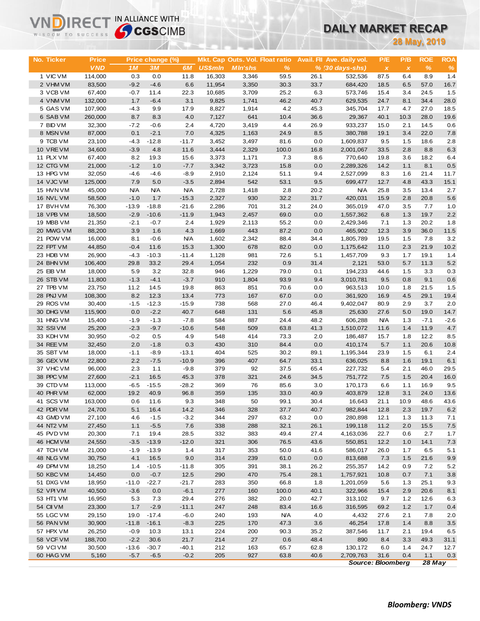# **DAILY MARKET RECAP**

|                        | <b>Sy CGS</b> CIMB<br>WISDOM TO SUCCESS |                   |                   |                    |                |                                 |              | DAILY MARKET RECAP |                            |                          |                           |               |             |  |
|------------------------|-----------------------------------------|-------------------|-------------------|--------------------|----------------|---------------------------------|--------------|--------------------|----------------------------|--------------------------|---------------------------|---------------|-------------|--|
|                        |                                         |                   |                   |                    |                |                                 |              |                    | <b>28 May, 2019</b>        |                          |                           |               |             |  |
|                        |                                         |                   |                   |                    |                |                                 |              |                    |                            |                          |                           |               |             |  |
| No. Ticker             | <b>Price</b>                            |                   | Price change (%)  |                    |                | Mkt. Cap Outs. Vol. Float ratio |              |                    | Avail. Fil Ave. daily vol. | P/E                      | P/B                       | <b>ROE</b>    | <b>ROA</b>  |  |
|                        | <b>VND</b>                              | 1M                | 3M                | 6M                 | <b>US\$mln</b> | <b>MIn'shs</b>                  | $\%$         |                    | % (30 days-shs)            | $\pmb{\chi}$             | $\boldsymbol{\mathsf{x}}$ | $\%$          | $\%$        |  |
| 1 VIC VM               | 114,000                                 | 0.3               | 0.0               | 11.8               | 16,303         | 3,346                           | 59.5         | 26.1               | 532,536                    | 87.5                     | 6.4                       | 8.9           | 1.4         |  |
| 2 VHM VM               | 83,500                                  | $-9.2$            | $-4.6$            | 6.6                | 11,954         | 3,350                           | 30.3         | 33.7               | 684,420                    | 18.5                     | 6.5                       | 57.0          | 16.7        |  |
| 3 VCB VM               | 67,400                                  | $-0.7$            | 11.4              | 22.3               | 10,685         | 3,709                           | 25.2         | 6.3                | 573,746                    | 15.4                     | 3.4                       | 24.5          | 1.5         |  |
| 4 VNM VM               | 132,000                                 | 1.7               | $-6.4$            | 3.1                | 9,825          | 1,741                           | 46.2         | 40.7               | 629,535                    | 24.7                     | 8.1                       | 34.4          | 28.0        |  |
| 5 GAS VM               | 107,900                                 | $-4.3$<br>8.7     | 9.9               | 17.9               | 8,827          | 1,914                           | 4.2          | 45.3               | 345,704                    | 17.7<br>40.1             | 4.7                       | 27.0          | 18.5        |  |
| 6 SAB VM<br>7 BID VM   | 260,000<br>32,300                       | $-7.2$            | 8.3<br>$-0.6$     | 4.0<br>2.4         | 7,127<br>4,720 | 641<br>3,419                    | 10.4<br>4.4  | 36.6<br>26.9       | 29,367<br>933,237          | 15.0                     | 10.3<br>2.1               | 28.0<br>14.5  | 19.6<br>0.6 |  |
| 8 MSN VM               | 87,000                                  | 0.1               | $-2.1$            | 7.0                | 4,325          | 1,163                           | 24.9         | 8.5                | 380,788                    | 19.1                     | 3.4                       | 22.0          | 7.8         |  |
| 9 TCB VM               | 23,100                                  | $-4.3$            | $-12.8$           | $-11.7$            | 3,452          | 3,497                           | 81.6         | 0.0                | 1,609,837                  | 9.5                      | 1.5                       | 18.6          | 2.8         |  |
| 10 VREVM               | 34,600                                  | $-3.9$            | 4.8               | 11.6               | 3,444          | 2,329                           | 100.0        | 16.8               | 2,001,067                  | 33.5                     | 2.8                       | 8.8           | 6.3         |  |
| 11 PLX VM              | 67,400                                  | 8.2               | 19.3              | 15.6               | 3,373          | 1,171                           | 7.3          | 8.6                | 770,640                    | 19.8                     | 3.6                       | 18.2          | 6.4         |  |
| 12 CTG VM              | 21,000                                  | $-1.2$            | 1.0               | $-7.7$             | 3,342          | 3,723                           | 15.8         | 0.0                | 2,289,326                  | 14.2                     | 1.1                       | 8.1           | 0.5         |  |
| 13 HPG VM              | 32,050                                  | $-4.6$            | $-4.6$            | $-8.9$             | 2,910          | 2,124                           | 51.1         | 9.4                | 2,527,099                  | 8.3                      | 1.6                       | 21.4          | 11.7        |  |
| 14 VJC VM              | 125,000                                 | 7.9               | 5.0               | $-3.5$             | 2,894          | 542                             | 53.1         | 9.5                | 699,477                    | 12.7                     | 4.8                       | 43.3          | 15.1        |  |
| 15 HVN VM              | 45,000                                  | <b>N/A</b>        | <b>N/A</b>        | <b>N/A</b>         | 2,728          | 1,418                           | 2.8          | 20.2               | <b>N/A</b>                 | 25.8                     | 3.5                       | 13.4          | 2.7         |  |
| 16 NVL VM              | 58,500                                  | $-1.0$            | 1.7               | $-15.3$            | 2,327          | 930                             | 32.2         | 31.7               | 420,031                    | 15.9                     | 2.8                       | 20.8          | 5.6         |  |
| 17 BVHVM               | 76,300                                  | $-13.9$           | $-18.8$           | $-21.6$            | 2,286          | 701                             | 31.2         | 24.0               | 365,019                    | 47.0                     | 3.5                       | 7.7           | 1.0         |  |
| 18 VPB VM              | 18,500                                  | $-2.9$            | $-10.6$           | $-11.9$            | 1,943          | 2,457                           | 69.0         | 0.0                | 1,557,362                  | 6.8                      | 1.3                       | 19.7          | 2.2         |  |
| 19 MBB VM              | 21,350                                  | $-2.1$            | $-0.7$            | 2.4                | 1,929          | 2,113                           | 55.2         | 0.0                | 2,429,346                  | 7.1                      | 1.3                       | 20.2          | 1.8         |  |
| 20 MWG VM              | 88,200                                  | 3.9               | 1.6               | 4.3                | 1,669          | 443                             | 87.2         | 0.0                | 465,902                    | 12.3                     | 3.9                       | 36.0          | 11.5        |  |
| 21 POW VM<br>22 FPT VM | 16,000                                  | 8.1<br>$-0.4$     | $-0.6$            | <b>N/A</b><br>15.3 | 1,602          | 2,342                           | 88.4         | 34.4               | 1,805,789                  | 19.5                     | 1.5                       | 7.8<br>21.9   | 3.2         |  |
| 23 HDB VM              | 44,850<br>26,900                        | $-4.3$            | 11.6<br>$-10.3$   | $-11.4$            | 1,300<br>1,128 | 678<br>981                      | 82.0<br>72.6 | 0.0<br>5.1         | 1,175,642<br>1,457,709     | 11.0<br>9.3              | 2.3<br>1.7                | 19.1          | 10.2<br>1.4 |  |
| 24 BHN VM              | 106,400                                 | 29.8              | 33.2              | 29.4               | 1,054          | 232                             | 0.9          | 31.4               | 2,121                      | 53.0                     | 5.7                       | 11.3          | 5.2         |  |
| 25 EIB VM              | 18,000                                  | 5.9               | 3.2               | 32.8               | 946            | 1,229                           | 79.0         | 0.1                | 194,233                    | 44.6                     | 1.5                       | 3.3           | 0.3         |  |
| 26 STB VM              | 11,800                                  | $-1.3$            | $-4.1$            | $-3.7$             | 910            | 1,804                           | 93.9         | 9.4                | 3,010,781                  | 9.5                      | 0.8                       | 9.1           | 0.6         |  |
| 27 TPB VM              | 23,750                                  | 11.2              | 14.5              | 19.8               | 863            | 851                             | 70.6         | 0.0                | 963,513                    | 10.0                     | 1.8                       | 21.5          | 1.5         |  |
| 28 PNJ VM              | 108,300                                 | 8.2               | 12.3              | 13.4               | 773            | 167                             | 67.0         | 0.0                | 361,920                    | 16.9                     | 4.5                       | 29.1          | 19.4        |  |
| 29 ROS VM              | 30,400                                  | $-1.5$            | $-12.3$           | $-15.9$            | 738            | 568                             | 27.0         | 46.4               | 9,402,047                  | 80.9                     | 2.9                       | 3.7           | 2.0         |  |
| 30 DHG VM              | 115,900                                 | 0.0               | $-2.2$            | 40.7               | 648            | 131                             | 5.6          | 45.8               | 25,630                     | 27.6                     | 5.0                       | 19.0          | 14.7        |  |
| 31 HNG VM              | 15,400                                  | $-1.9$            | $-1.3$            | $-7.8$             | 584            | 887                             | 24.4         | 48.2               | 606,288                    | <b>N/A</b>               | 1.3                       | $-7.1$        | $-2.6$      |  |
| 32 SSIVM               | 25,200                                  | $-2.3$            | $-9.7$            | $-10.6$            | 548            | 509                             | 63.8         | 41.3               | 1,510,072                  | 11.6                     | 1.4                       | 11.9          | 4.7         |  |
| 33 KDH VM              | 30,950                                  | $-0.2$            | 0.5               | 4.9                | 548            | 414                             | 73.3         | 2.0                | 186,487                    | 15.7                     | 1.8                       | 12.2          | 8.5         |  |
| 34 REE VM              | 32,450                                  | 2.0               | $-1.8$            | 0.3                | 430            | 310                             | 84.4         | 0.0                | 410,174                    | 5.7                      | 1.1                       | 20.6          | 10.8        |  |
| 35 SBT VM              | 18,000                                  | $-1.1$            | $-8.9$            | $-13.1$            | 404            | 525                             | 30.2         | 89.1               | 1,195,344                  | 23.9                     | 1.5                       | 6.1           | 2.4         |  |
| 36 GEX VM<br>37 VHC VM | 22,800                                  | 2.2               | $-7.5$            | $-10.9$            | 396<br>379     | 407<br>92                       | 64.7         | 33.1               | 636,025                    | 8.8                      | 1.6<br>2.1                | 19.1<br>46.0  | 6.1<br>29.5 |  |
| 38 PPC VM              | 96,000<br>27,600                        | 2.3<br>$-2.1$     | 1.1<br>16.5       | $-9.8$<br>45.3     | 378            | 321                             | 37.5<br>24.6 | 65.4<br>34.5       | 227,732<br>751,772         | 5.4<br>7.5               | 1.5                       | 20.4          | 16.0        |  |
| 39 CTD VM              | 113,000                                 | $-6.5$            | $-15.5$           | $-28.2$            | 369            | 76                              | 85.6         | 3.0                | 170,173                    | 6.6                      | 1.1                       | 16.9          | 9.5         |  |
| 40 PHR VM              | 62,000                                  | 19.2              | 40.9              | 96.8               | 359            | 135                             | 33.0         | 40.9               | 403,879                    | 12.8                     | 3.1                       | 24.0          | 13.6        |  |
| 41 SCS VM              | 163,000                                 | 0.6               | 11.6              | 9.3                | 348            | 50                              | 99.1         | 30.4               | 16,643                     | 21.1                     | 10.9                      | 48.6          | 43.6        |  |
| 42 PDR VM              | 24,700                                  | 5.1               | 16.4              | 14.2               | 346            | 328                             | 37.7         | 40.7               | 982,844                    | 12.8                     | 2.3                       | 19.7          | 6.2         |  |
| 43 GMD VM              | 27,100                                  | 4.6               | $-1.5$            | $-3.2$             | 344            | 297                             | 63.2         | 0.0                | 280,898                    | 12.1                     | 1.3                       | 11.3          | 7.1         |  |
| 44 NT2 VM              | 27,450                                  | 1.1               | $-5.5$            | 7.6                | 338            | 288                             | 32.1         | 26.1               | 199,118                    | 11.2                     | 2.0                       | 15.5          | $7.5\,$     |  |
| 45 PVD VM              | 20,300                                  | 7.1               | 19.4              | 28.5               | 332            | 383                             | 49.4         | 27.4               | 4,163,036                  | 22.7                     | 0.6                       | 2.7           | 1.7         |  |
| 46 HCM VM              | 24,550                                  | $-3.5$            | $-13.9$           | $-12.0$            | 321            | 306                             | 76.5         | 43.6               | 550,851                    | 12.2                     | 1.0                       | 14.1          | 7.3         |  |
| 47 TCH VM              | 21,000                                  | $-1.9$            | $-13.9$           | 1.4                | 317            | 353                             | 50.0         | 41.6               | 586,017                    | 26.0                     | 1.7                       | 6.5           | 5.1         |  |
| 48 NLG VM              | 30,750                                  | 4.1               | 16.5              | 9.0                | 314            | 239                             | 61.0         | 0.0                | 813,688                    | 7.3                      | $1.5$                     | 21.6          | 9.9         |  |
| 49 DPM VM              | 18,250                                  | 1.4               | $-10.5$           | $-11.8$            | 305            | 391                             | 38.1         | 26.2               | 255,357                    | 14.2                     | 0.9                       | 7.2           | 5.2         |  |
| 50 KBC VM<br>51 DXG VM | 14,450                                  | 0.0               | $-0.7$<br>$-22.7$ | 12.5<br>$-21.7$    | 290<br>283     | 470<br>350                      | 75.4<br>66.8 | 28.1<br>1.8        | 1,757,921                  | 10.8                     | 0.7                       | 7.1           | $3.8\,$     |  |
| 52 VPIVM               | 18,950<br>40,500                        | $-11.0$<br>$-3.6$ | 0.0               | $-6.1$             | 277            | 160                             | 100.0        | 40.1               | 1,201,059<br>322,966       | 5.6<br>15.4              | 1.3<br>2.9                | 25.1<br>20.6  | 9.3<br>8.1  |  |
| 53 HT1 VM              | 16,950                                  | 5.3               | 7.3               | 29.4               | 276            | 382                             | 20.0         | 42.7               | 313,102                    | 9.7                      | $1.2$                     | 12.6          | 6.3         |  |
| 54 CII VM              | 23,300                                  | 1.7               | $-2.9$            | $-11.1$            | 247            | 248                             | 83.4         | 16.6               | 316,595                    | 69.2                     | 1.2                       | 1.7           | 0.4         |  |
| 55 LGC VM              | 29,150                                  | 19.0              | $-17.4$           | $-6.0$             | 240            | 193                             | <b>N/A</b>   | 4.0                | 4,432                      | 27.6                     | 2.1                       | 7.8           | 2.0         |  |
| 56 PAN VM              | 30,900                                  | $-11.8$           | $-16.1$           | $-8.3$             | 225            | 170                             | 47.3         | 3.6                | 46,254                     | 17.8                     | 1.4                       | 8.8           | $3.5\,$     |  |
| 57 HPX VM              | 26,250                                  | $-0.9$            | 10.3              | 13.1               | 224            | 200                             | 90.3         | 35.2               | 387,546                    | 11.7                     | 2.1                       | 19.4          | 6.5         |  |
| 58 VCF VM              | 188,700                                 | $-2.2$            | 30.6              | 21.7               | 214            | 27                              | 0.6          | 48.4               | 890                        | 8.4                      | 3.3                       | 49.3          | 31.1        |  |
| 59 VCIVM               | 30,500                                  | $-13.6$           | $-30.7$           | $-40.1$            | 212            | 163                             | 65.7         | 62.8               | 130,172                    | 6.0                      | 1.4                       | 24.7          | 12.7        |  |
| 60 HAG VM              | 5,160                                   | $-5.7$            | $-6.5$            | $-0.2$             | 205            | 927                             | 63.8         | 40.6               | 2,709,763                  | 31.6                     | 0.4                       | 1.1           | $0.3\,$     |  |
|                        |                                         |                   |                   |                    |                |                                 |              |                    |                            | <b>Source: Bloomberg</b> |                           | <b>28 May</b> |             |  |

**VNDIRECT IN ALLIANCE WITH**